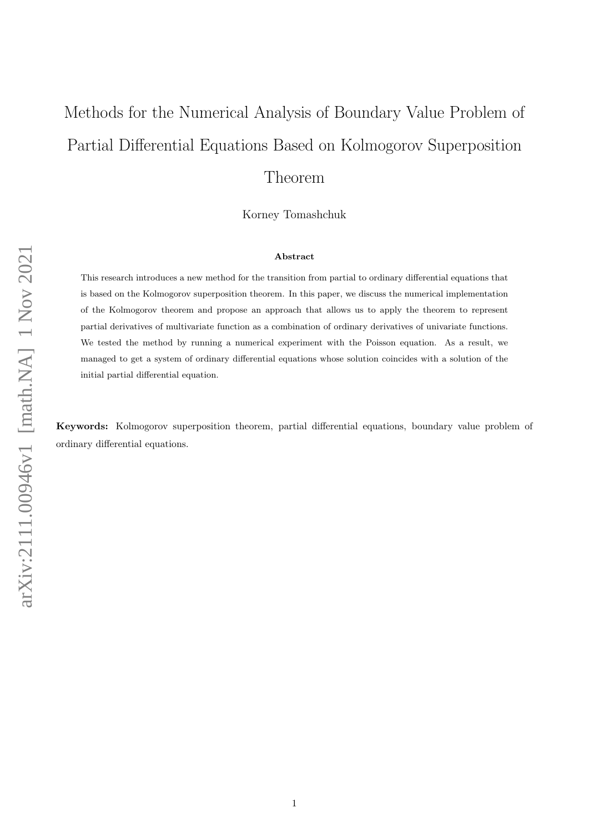# Methods for the Numerical Analysis of Boundary Value Problem of Partial Differential Equations Based on Kolmogorov Superposition Theorem

Korney Tomashchuk

#### Abstract

This research introduces a new method for the transition from partial to ordinary differential equations that is based on the Kolmogorov superposition theorem. In this paper, we discuss the numerical implementation of the Kolmogorov theorem and propose an approach that allows us to apply the theorem to represent partial derivatives of multivariate function as a combination of ordinary derivatives of univariate functions. We tested the method by running a numerical experiment with the Poisson equation. As a result, we managed to get a system of ordinary differential equations whose solution coincides with a solution of the initial partial differential equation.

Keywords: Kolmogorov superposition theorem, partial differential equations, boundary value problem of ordinary differential equations.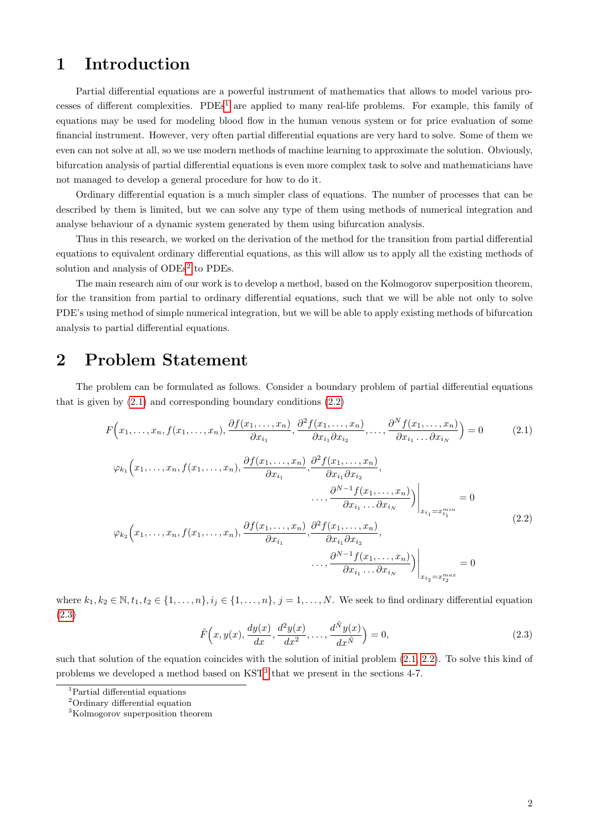# 1 Introduction

Partial differential equations are a powerful instrument of mathematics that allows to model various processes of different complexities.  $PDEs<sup>1</sup>$  $PDEs<sup>1</sup>$  $PDEs<sup>1</sup>$  are applied to many real-life problems. For example, this family of equations may be used for modeling blood flow in the human venous system or for price evaluation of some financial instrument. However, very often partial differential equations are very hard to solve. Some of them we even can not solve at all, so we use modern methods of machine learning to approximate the solution. Obviously, bifurcation analysis of partial differential equations is even more complex task to solve and mathematicians have not managed to develop a general procedure for how to do it.

Ordinary differential equation is a much simpler class of equations. The number of processes that can be described by them is limited, but we can solve any type of them using methods of numerical integration and analyse behaviour of a dynamic system generated by them using bifurcation analysis.

Thus in this research, we worked on the derivation of the method for the transition from partial differential equations to equivalent ordinary differential equations, as this will allow us to apply all the existing methods of solution and analysis of ODEs<sup>[2](#page-1-1)</sup> to PDEs.

The main research aim of our work is to develop a method, based on the Kolmogorov superposition theorem, for the transition from partial to ordinary differential equations, such that we will be able not only to solve PDE's using method of simple numerical integration, but we will be able to apply existing methods of bifurcation analysis to partial differential equations.

#### 2 Problem Statement

The problem can be formulated as follows. Consider a boundary problem of partial differential equations that is given by  $(2.1)$  and corresponding boundary conditions  $(2.2)$ 

<span id="page-1-2"></span>
$$
F(x_1, \ldots, x_n, f(x_1, \ldots, x_n), \frac{\partial f(x_1, \ldots, x_n)}{\partial x_{i_1}}, \frac{\partial^2 f(x_1, \ldots, x_n)}{\partial x_{i_1} \partial x_{i_2}}, \ldots, \frac{\partial^N f(x_1, \ldots, x_n)}{\partial x_{i_1} \ldots \partial x_{i_N}}) = 0
$$
 (2.1)

<span id="page-1-3"></span>
$$
\varphi_{k_1}\left(x_1,\ldots,x_n,f(x_1,\ldots,x_n),\frac{\partial f(x_1,\ldots,x_n)}{\partial x_{i_1}},\frac{\partial^2 f(x_1,\ldots,x_n)}{\partial x_{i_1}\partial x_{i_2}},\ldots,\frac{\partial^{N-1} f(x_1,\ldots,x_n)}{\partial x_{i_1}\ldots\partial x_{i_N}}\right)\Big|_{x_{t_1}=x_{t_1}^{min}} = 0
$$
\n
$$
\varphi_{k_2}\left(x_1,\ldots,x_n,f(x_1,\ldots,x_n),\frac{\partial f(x_1,\ldots,x_n)}{\partial x_{i_1}},\frac{\partial^2 f(x_1,\ldots,x_n)}{\partial x_{i_1}\partial x_{i_2}},\ldots,\frac{\partial^{N-1} f(x_1,\ldots,x_n)}{\partial x_{i_1}\ldots\partial x_{i_N}}\right)\Big|_{x_{t_2}=x_{t_2}^{max}} = 0
$$
\n(2.2)

where  $k_1, k_2 \in \mathbb{N}, t_1, t_2 \in \{1, \ldots, n\}, i_j \in \{1, \ldots, n\}, j = 1, \ldots, N$ . We seek to find ordinary differential equation [\(2.3\)](#page-1-4)

<span id="page-1-4"></span>
$$
\tilde{F}\left(x, y(x), \frac{dy(x)}{dx}, \frac{d^2y(x)}{dx^2}, \dots, \frac{d^{\tilde{N}}y(x)}{dx^{\tilde{N}}}\right) = 0,\tag{2.3}
$$

such that solution of the equation coincides with the solution of initial problem  $(2.1, 2.2)$  $(2.1, 2.2)$ . To solve this kind of problems we developed a method based on  $KST<sup>3</sup>$  $KST<sup>3</sup>$  $KST<sup>3</sup>$  that we present in the sections 4-7.

<span id="page-1-0"></span><sup>&</sup>lt;sup>1</sup>Partial differential equations

<span id="page-1-1"></span><sup>2</sup>Ordinary differential equation

<span id="page-1-5"></span><sup>3</sup>Kolmogorov superposition theorem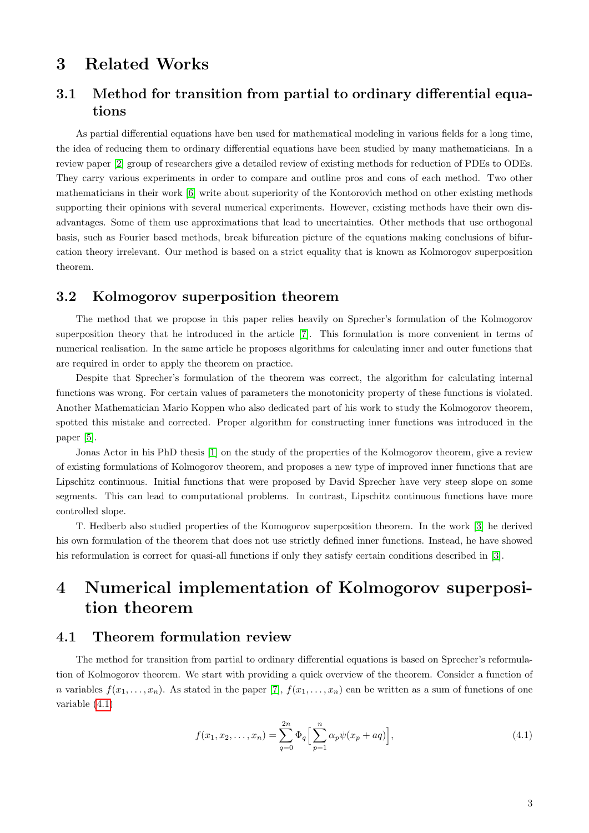### 3 Related Works

### 3.1 Method for transition from partial to ordinary differential equations

As partial differential equations have ben used for mathematical modeling in various fields for a long time, the idea of reducing them to ordinary differential equations have been studied by many mathematicians. In a review paper [\[2\]](#page-11-0) group of researchers give a detailed review of existing methods for reduction of PDEs to ODEs. They carry various experiments in order to compare and outline pros and cons of each method. Two other mathematicians in their work [\[6\]](#page-11-1) write about superiority of the Kontorovich method on other existing methods supporting their opinions with several numerical experiments. However, existing methods have their own disadvantages. Some of them use approximations that lead to uncertainties. Other methods that use orthogonal basis, such as Fourier based methods, break bifurcation picture of the equations making conclusions of bifurcation theory irrelevant. Our method is based on a strict equality that is known as Kolmorogov superposition theorem.

#### 3.2 Kolmogorov superposition theorem

The method that we propose in this paper relies heavily on Sprecher's formulation of the Kolmogorov superposition theory that he introduced in the article [\[7\]](#page-11-2). This formulation is more convenient in terms of numerical realisation. In the same article he proposes algorithms for calculating inner and outer functions that are required in order to apply the theorem on practice.

Despite that Sprecher's formulation of the theorem was correct, the algorithm for calculating internal functions was wrong. For certain values of parameters the monotonicity property of these functions is violated. Another Mathematician Mario Koppen who also dedicated part of his work to study the Kolmogorov theorem, spotted this mistake and corrected. Proper algorithm for constructing inner functions was introduced in the paper [\[5\]](#page-11-3).

Jonas Actor in his PhD thesis [\[1\]](#page-11-4) on the study of the properties of the Kolmogorov theorem, give a review of existing formulations of Kolmogorov theorem, and proposes a new type of improved inner functions that are Lipschitz continuous. Initial functions that were proposed by David Sprecher have very steep slope on some segments. This can lead to computational problems. In contrast, Lipschitz continuous functions have more controlled slope.

T. Hedberb also studied properties of the Komogorov superposition theorem. In the work [\[3\]](#page-11-5) he derived his own formulation of the theorem that does not use strictly defined inner functions. Instead, he have showed his reformulation is correct for quasi-all functions if only they satisfy certain conditions described in [\[3\]](#page-11-5).

# 4 Numerical implementation of Kolmogorov superposition theorem

#### 4.1 Theorem formulation review

The method for transition from partial to ordinary differential equations is based on Sprecher's reformulation of Kolmogorov theorem. We start with providing a quick overview of the theorem. Consider a function of n variables  $f(x_1, \ldots, x_n)$ . As stated in the paper [\[7\]](#page-11-2),  $f(x_1, \ldots, x_n)$  can be written as a sum of functions of one variable [\(4.1\)](#page-2-0)

<span id="page-2-0"></span>
$$
f(x_1, x_2, \dots, x_n) = \sum_{q=0}^{2n} \Phi_q \left[ \sum_{p=1}^n \alpha_p \psi(x_p + aq) \right],
$$
\n(4.1)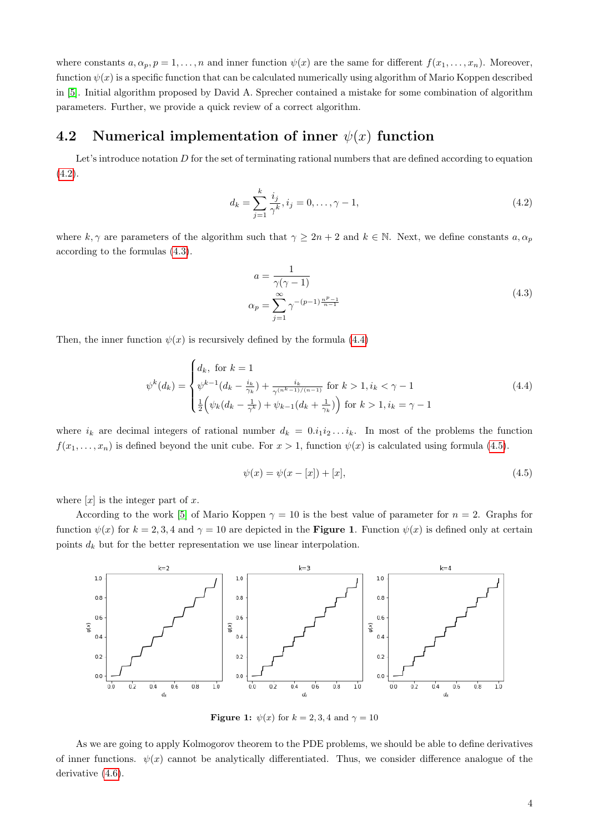where constants  $a, \alpha_p, p = 1, \ldots, n$  and inner function  $\psi(x)$  are the same for different  $f(x_1, \ldots, x_n)$ . Moreover, function  $\psi(x)$  is a specific function that can be calculated numerically using algorithm of Mario Koppen described in [\[5\]](#page-11-3). Initial algorithm proposed by David A. Sprecher contained a mistake for some combination of algorithm parameters. Further, we provide a quick review of a correct algorithm.

#### 4.2 Numerical implementation of inner  $\psi(x)$  function

Let's introduce notation  $D$  for the set of terminating rational numbers that are defined according to equation  $(4.2).$  $(4.2).$ 

<span id="page-3-0"></span>
$$
d_k = \sum_{j=1}^k \frac{i_j}{\gamma^k}, i_j = 0, \dots, \gamma - 1,
$$
\n(4.2)

<span id="page-3-1"></span>where k,  $\gamma$  are parameters of the algorithm such that  $\gamma \geq 2n + 2$  and  $k \in \mathbb{N}$ . Next, we define constants  $a, \alpha_p$ according to the formulas [\(4.3\)](#page-3-1).

$$
a = \frac{1}{\gamma(\gamma - 1)}\n\alpha_p = \sum_{j=1}^{\infty} \gamma^{-(p-1)\frac{n^p - 1}{n-1}}
$$
\n(4.3)

Then, the inner function  $\psi(x)$  is recursively defined by the formula [\(4.4\)](#page-3-2)

<span id="page-3-2"></span>
$$
\psi^k(d_k) = \begin{cases} d_k, \text{ for } k = 1\\ \psi^{k-1}(d_k - \frac{i_k}{\gamma_k}) + \frac{i_k}{\gamma^{(n^k - 1)/(n-1)}} \text{ for } k > 1, i_k < \gamma - 1\\ \frac{1}{2} \left( \psi_k(d_k - \frac{1}{\gamma^k}) + \psi_{k-1}(d_k + \frac{1}{\gamma_k}) \right) \text{ for } k > 1, i_k = \gamma - 1 \end{cases}
$$
(4.4)

where  $i_k$  are decimal integers of rational number  $d_k = 0.i_1i_2...i_k$ . In most of the problems the function  $f(x_1, \ldots, x_n)$  is defined beyond the unit cube. For  $x > 1$ , function  $\psi(x)$  is calculated using formula [\(4.5\)](#page-3-3).

<span id="page-3-3"></span>
$$
\psi(x) = \psi(x - [x]) + [x],\tag{4.5}
$$

where  $[x]$  is the integer part of x.

According to the work [\[5\]](#page-11-3) of Mario Koppen  $\gamma = 10$  is the best value of parameter for  $n = 2$ . Graphs for function  $\psi(x)$  for  $k = 2, 3, 4$  and  $\gamma = 10$  are depicted in the **Figure 1**. Function  $\psi(x)$  is defined only at certain points  $d_k$  but for the better representation we use linear interpolation.



Figure 1:  $\psi(x)$  for  $k = 2, 3, 4$  and  $\gamma = 10$ 

As we are going to apply Kolmogorov theorem to the PDE problems, we should be able to define derivatives of inner functions.  $\psi(x)$  cannot be analytically differentiated. Thus, we consider difference analogue of the derivative  $(4.6)$ .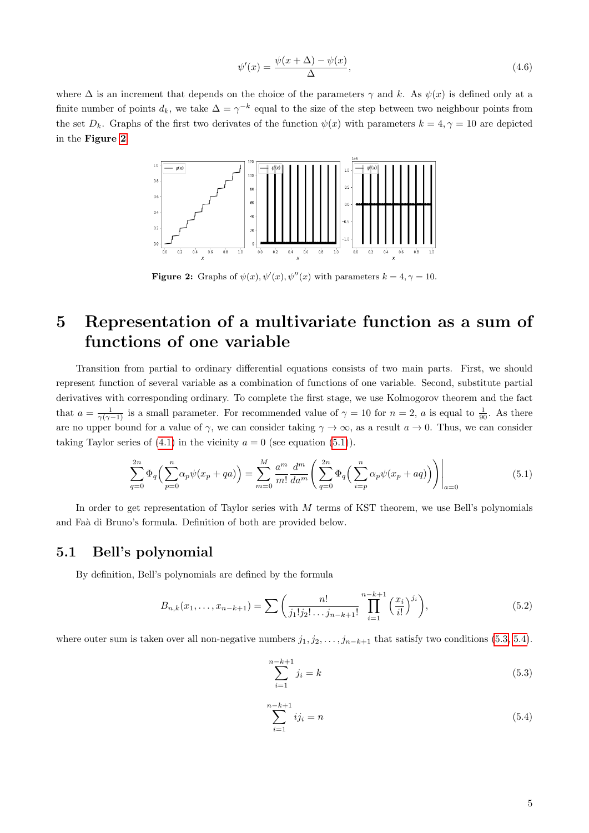<span id="page-4-0"></span>
$$
\psi'(x) = \frac{\psi(x + \Delta) - \psi(x)}{\Delta},\tag{4.6}
$$

<span id="page-4-1"></span>where  $\Delta$  is an increment that depends on the choice of the parameters  $\gamma$  and k. As  $\psi(x)$  is defined only at a finite number of points  $d_k$ , we take  $\Delta = \gamma^{-k}$  equal to the size of the step between two neighbour points from the set  $D_k$ . Graphs of the first two derivates of the function  $\psi(x)$  with parameters  $k = 4, \gamma = 10$  are depicted in the Figure [2](#page-4-1).



Figure 2: Graphs of  $\psi(x)$ ,  $\psi'(x)$ ,  $\psi''(x)$  with parameters  $k = 4, \gamma = 10$ .

# 5 Representation of a multivariate function as a sum of functions of one variable

Transition from partial to ordinary differential equations consists of two main parts. First, we should represent function of several variable as a combination of functions of one variable. Second, substitute partial derivatives with corresponding ordinary. To complete the first stage, we use Kolmogorov theorem and the fact that  $a = \frac{1}{\gamma(\gamma - 1)}$  is a small parameter. For recommended value of  $\gamma = 10$  for  $n = 2$ , a is equal to  $\frac{1}{90}$ . As there are no upper bound for a value of  $\gamma$ , we can consider taking  $\gamma \to \infty$ , as a result  $a \to 0$ . Thus, we can consider taking Taylor series of  $(4.1)$  in the vicinity  $a = 0$  (see equation  $(5.1)$ ).

$$
\sum_{q=0}^{2n} \Phi_q \left( \sum_{p=0}^n \alpha_p \psi(x_p + qa) \right) = \sum_{m=0}^M \frac{a^m}{m!} \frac{d^m}{da^m} \left( \sum_{q=0}^{2n} \Phi_q \left( \sum_{i=p}^n \alpha_p \psi(x_p + aq) \right) \right) \Big|_{a=0}
$$
(5.1)

<span id="page-4-2"></span>In order to get representation of Taylor series with M terms of KST theorem, we use Bell's polynomials and Fa`a di Bruno's formula. Definition of both are provided below.

#### 5.1 Bell's polynomial

By definition, Bell's polynomials are defined by the formula

$$
B_{n,k}(x_1,\ldots,x_{n-k+1}) = \sum \left(\frac{n!}{j_1!j_2!\ldots j_{n-k+1}!} \prod_{i=1}^{n-k+1} \left(\frac{x_i}{i!}\right)^{j_i}\right),\tag{5.2}
$$

where outer sum is taken over all non-negative numbers  $j_1, j_2, \ldots, j_{n-k+1}$  that satisfy two conditions [\(5.3,](#page-4-3) [5.4\)](#page-4-4).

<span id="page-4-3"></span>
$$
\sum_{i=1}^{n-k+1} j_i = k \tag{5.3}
$$

<span id="page-4-4"></span>
$$
\sum_{i=1}^{n-k+1} ij_i = n \tag{5.4}
$$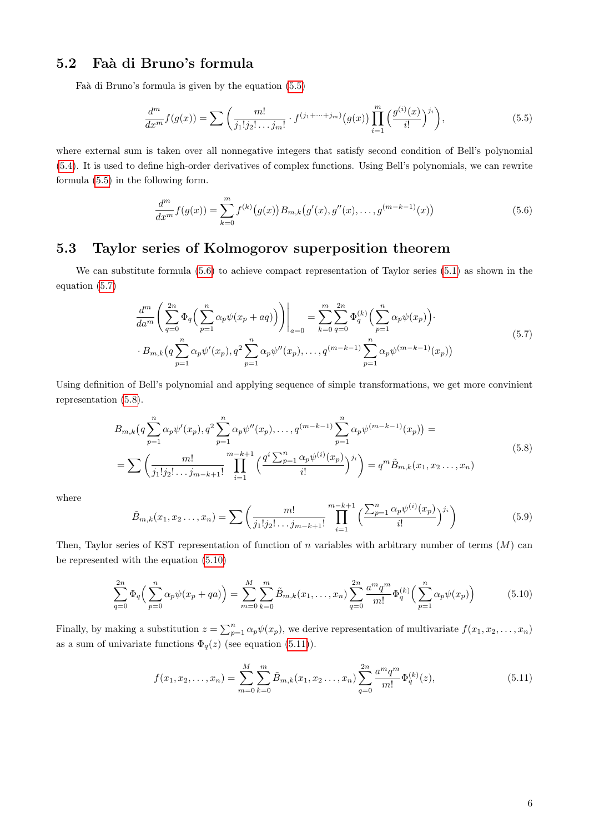#### 5.2 Faà di Bruno's formula

Faà di Bruno's formula is given by the equation [\(5.5\)](#page-5-0)

<span id="page-5-0"></span>
$$
\frac{d^m}{dx^m}f(g(x)) = \sum \left(\frac{m!}{j_1!j_2!\dots j_m!} \cdot f^{(j_1+\dots+j_m)}(g(x)) \prod_{i=1}^m \left(\frac{g^{(i)}(x)}{i!}\right)^{j_i}\right),\tag{5.5}
$$

where external sum is taken over all nonnegative integers that satisfy second condition of Bell's polynomial [\(5.4\)](#page-4-4). It is used to define high-order derivatives of complex functions. Using Bell's polynomials, we can rewrite formula [\(5.5\)](#page-5-0) in the following form.

<span id="page-5-1"></span>
$$
\frac{d^m}{dx^m} f(g(x)) = \sum_{k=0}^m f^{(k)}(g(x)) B_{m,k}(g'(x), g''(x), \dots, g^{(m-k-1)}(x))
$$
\n(5.6)

#### 5.3 Taylor series of Kolmogorov superposition theorem

We can substitute formula [\(5.6\)](#page-5-1) to achieve compact representation of Taylor series [\(5.1\)](#page-4-2) as shown in the equation [\(5.7\)](#page-5-2)

$$
\frac{d^m}{da^m} \left( \sum_{q=0}^{2n} \Phi_q \left( \sum_{p=1}^n \alpha_p \psi(x_p + aq) \right) \right) \Big|_{a=0} = \sum_{k=0}^m \sum_{q=0}^{2n} \Phi_q^{(k)} \left( \sum_{p=1}^n \alpha_p \psi(x_p) \right) \cdot B_{m,k} \left( q \sum_{p=1}^n \alpha_p \psi'(x_p), q^2 \sum_{p=1}^n \alpha_p \psi''(x_p), \dots, q^{(m-k-1)} \sum_{p=1}^n \alpha_p \psi^{(m-k-1)}(x_p) \right)
$$
\n(5.7)

<span id="page-5-3"></span><span id="page-5-2"></span>Using definition of Bell's polynomial and applying sequence of simple transformations, we get more convinient representation [\(5.8\)](#page-5-3).

$$
B_{m,k}(q\sum_{p=1}^{n} \alpha_p \psi'(x_p), q^2 \sum_{p=1}^{n} \alpha_p \psi''(x_p), \dots, q^{(m-k-1)} \sum_{p=1}^{n} \alpha_p \psi^{(m-k-1)}(x_p)) =
$$
  
= 
$$
\sum \left(\frac{m!}{j_1! j_2! \dots j_{m-k+1}!} \prod_{i=1}^{m-k+1} \left(\frac{q^i \sum_{p=1}^{n} \alpha_p \psi^{(i)}(x_p)}{i!} \right)^{j_i} \right) = q^m \tilde{B}_{m,k}(x_1, x_2 \dots, x_n)
$$
(5.8)

where

$$
\tilde{B}_{m,k}(x_1, x_2 \dots, x_n) = \sum \left( \frac{m!}{j_1! j_2! \dots j_{m-k+1}!} \prod_{i=1}^{m-k+1} \left( \frac{\sum_{p=1}^n \alpha_p \psi^{(i)}(x_p)}{i!} \right)^{j_i} \right)
$$
(5.9)

Then, Taylor series of KST representation of function of n variables with arbitrary number of terms  $(M)$  can be represented with the equation [\(5.10\)](#page-5-4)

$$
\sum_{q=0}^{2n} \Phi_q \left( \sum_{p=0}^n \alpha_p \psi(x_p + qa) \right) = \sum_{m=0}^M \sum_{k=0}^m \tilde{B}_{m,k}(x_1, \dots, x_n) \sum_{q=0}^{2n} \frac{a^m q^m}{m!} \Phi_q^{(k)} \left( \sum_{p=1}^n \alpha_p \psi(x_p) \right)
$$
(5.10)

<span id="page-5-4"></span>Finally, by making a substitution  $z = \sum_{p=1}^{n} \alpha_p \psi(x_p)$ , we derive representation of multivariate  $f(x_1, x_2, \ldots, x_n)$ as a sum of univariate functions  $\Phi_q(z)$  (see equation [\(5.11\)](#page-5-5)).

<span id="page-5-5"></span>
$$
f(x_1, x_2, \dots, x_n) = \sum_{m=0}^{M} \sum_{k=0}^{m} \tilde{B}_{m,k}(x_1, x_2 \dots, x_n) \sum_{q=0}^{2n} \frac{a^m q^m}{m!} \Phi_q^{(k)}(z),
$$
\n(5.11)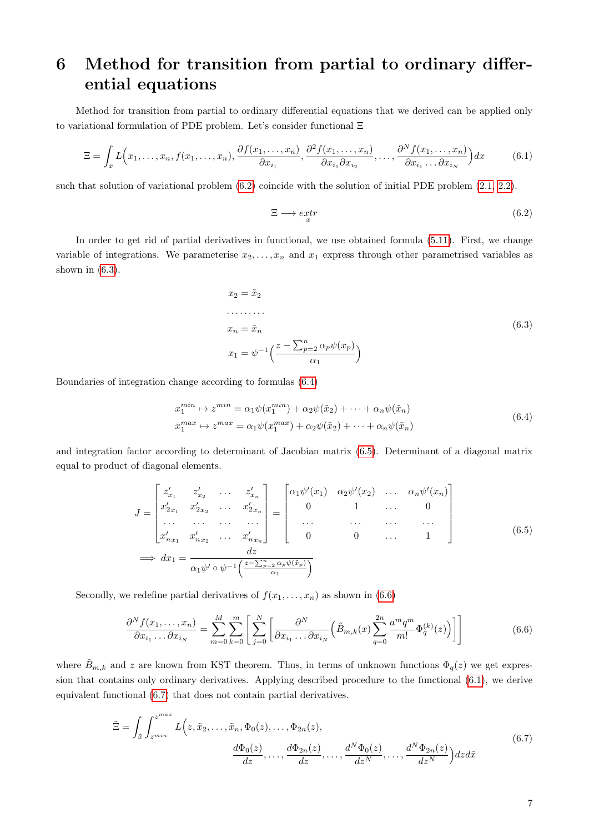# <span id="page-6-7"></span>6 Method for transition from partial to ordinary differential equations

Method for transition from partial to ordinary differential equations that we derived can be applied only to variational formulation of PDE problem. Let's consider functional Ξ

<span id="page-6-5"></span>
$$
\Xi = \int_x L\Big(x_1, \dots, x_n, f(x_1, \dots, x_n), \frac{\partial f(x_1, \dots, x_n)}{\partial x_{i_1}}, \frac{\partial^2 f(x_1, \dots, x_n)}{\partial x_{i_1} \partial x_{i_2}}, \dots, \frac{\partial^N f(x_1, \dots, x_n)}{\partial x_{i_1} \dots \partial x_{i_N}}\Big) dx \tag{6.1}
$$

such that solution of variational problem [\(6.2\)](#page-6-0) coincide with the solution of initial PDE problem [\(2.1,](#page-1-2) [2.2\)](#page-1-3).

<span id="page-6-0"></span>
$$
\Xi \longrightarrow \underset{x}{\text{extr}} \qquad (6.2)
$$

In order to get rid of partial derivatives in functional, we use obtained formula [\(5.11\)](#page-5-5). First, we change variable of integrations. We parameterise  $x_2, \ldots, x_n$  and  $x_1$  express through other parametrised variables as shown in  $(6.3)$ .

$$
x_2 = \tilde{x}_2
$$
  
\n
$$
\dots
$$
  
\n
$$
x_n = \tilde{x}_n
$$
  
\n
$$
x_1 = \psi^{-1} \left( \frac{z - \sum_{p=2}^n \alpha_p \psi(x_p)}{\alpha_1} \right)
$$
  
\n(6.3)

<span id="page-6-2"></span><span id="page-6-1"></span>Boundaries of integration change according to formulas [\(6.4\)](#page-6-2)

$$
x_1^{min} \rightarrow z^{min} = \alpha_1 \psi(x_1^{min}) + \alpha_2 \psi(\tilde{x}_2) + \dots + \alpha_n \psi(\tilde{x}_n)
$$
  
\n
$$
x_1^{max} \rightarrow z^{max} = \alpha_1 \psi(x_1^{max}) + \alpha_2 \psi(\tilde{x}_2) + \dots + \alpha_n \psi(\tilde{x}_n)
$$
\n(6.4)

and integration factor according to determinant of Jacobian matrix [\(6.5\)](#page-6-3). Determinant of a diagonal matrix equal to product of diagonal elements.

$$
J = \begin{bmatrix} z'_{x_1} & z'_{x_2} & \dots & z'_{x_n} \\ x'_{2x_1} & x'_{2x_2} & \dots & x'_{2x_n} \\ \dots & \dots & \dots & \dots \\ x'_{n}x_1 & x'_{n}x_2 & \dots & x'_{n}x_n \end{bmatrix} = \begin{bmatrix} \alpha_1 \psi'(x_1) & \alpha_2 \psi'(x_2) & \dots & \alpha_n \psi'(x_n) \\ 0 & 1 & \dots & 0 \\ \dots & \dots & \dots & \dots \\ 0 & 0 & \dots & 1 \end{bmatrix}
$$
(6.5)  
\n
$$
\implies dx_1 = \frac{dz}{\alpha_1 \psi' \circ \psi^{-1} \left( \frac{z - \sum_{p=2}^n \alpha_p \psi(\bar{x}_p)}{\alpha_1} \right)}
$$

<span id="page-6-4"></span><span id="page-6-3"></span>Secondly, we redefine partial derivatives of  $f(x_1, \ldots, x_n)$  as shown in [\(6.6\)](#page-6-4)

$$
\frac{\partial^N f(x_1, \dots, x_n)}{\partial x_{i_1} \dots \partial x_{i_N}} = \sum_{m=0}^M \sum_{k=0}^m \left[ \sum_{j=0}^N \left[ \frac{\partial^N}{\partial x_{i_1} \dots \partial x_{i_N}} \left( \tilde{B}_{m,k}(x) \sum_{q=0}^{2n} \frac{a^m q^m}{m!} \Phi_q^{(k)}(z) \right) \right] \right]
$$
(6.6)

where  $\tilde{B}_{m,k}$  and z are known from KST theorem. Thus, in terms of unknown functions  $\Phi_q(z)$  we get expression that contains only ordinary derivatives. Applying described procedure to the functional [\(6.1\)](#page-6-5), we derive equivalent functional [\(6.7\)](#page-6-6) that does not contain partial derivatives.

<span id="page-6-6"></span>
$$
\tilde{\Xi} = \int_{\tilde{x}} \int_{z^{\min}}^{z^{\max}} L(z, \tilde{x}_2, \dots, \tilde{x}_n, \Phi_0(z), \dots, \Phi_{2n}(z),
$$
\n
$$
\frac{d\Phi_0(z)}{dz}, \dots, \frac{d\Phi_{2n}(z)}{dz}, \dots, \frac{d^N \Phi_0(z)}{dz^N}, \dots, \frac{d^N \Phi_{2n}(z)}{dz^N} dz d\tilde{x}
$$
\n(6.7)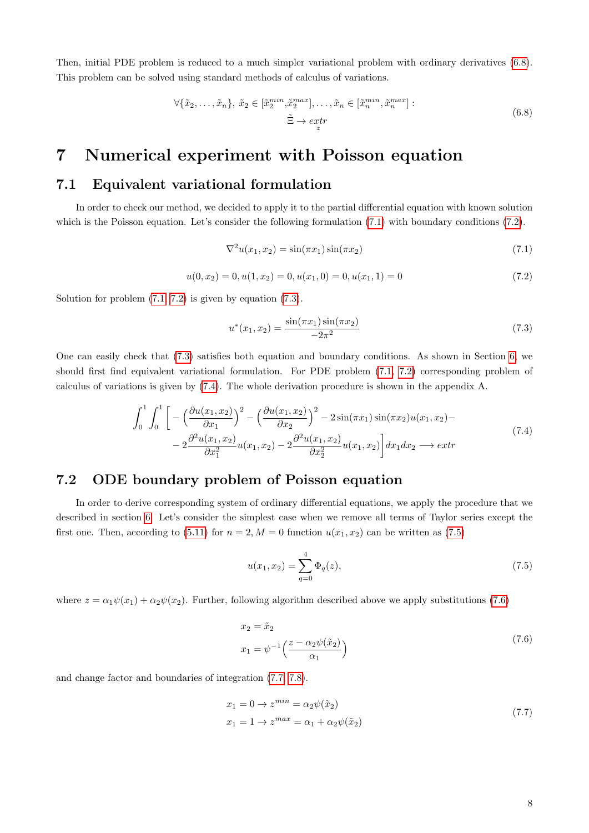<span id="page-7-0"></span>Then, initial PDE problem is reduced to a much simpler variational problem with ordinary derivatives [\(6.8\)](#page-7-0). This problem can be solved using standard methods of calculus of variations.

$$
\forall \{\tilde{x}_2, \dots, \tilde{x}_n\}, \ \tilde{x}_2 \in [\tilde{x}_2^{min}, \tilde{x}_2^{max}], \dots, \tilde{x}_n \in [\tilde{x}_n^{min}, \tilde{x}_n^{max}]:
$$
  

$$
\tilde{\Xi} \to \operatorname{extr}
$$
  
(6.8)

### 7 Numerical experiment with Poisson equation

#### 7.1 Equivalent variational formulation

In order to check our method, we decided to apply it to the partial differential equation with known solution which is the Poisson equation. Let's consider the following formulation  $(7.1)$  with boundary conditions  $(7.2)$ .

<span id="page-7-1"></span>
$$
\nabla^2 u(x_1, x_2) = \sin(\pi x_1) \sin(\pi x_2)
$$
\n(7.1)

<span id="page-7-2"></span> $u(0, x_2) = 0, u(1, x_2) = 0, u(x_1, 0) = 0, u(x_1, 1) = 0$  (7.2)

Solution for problem  $(7.1, 7.2)$  $(7.1, 7.2)$  is given by equation  $(7.3)$ .

<span id="page-7-3"></span>
$$
u^*(x_1, x_2) = \frac{\sin(\pi x_1)\sin(\pi x_2)}{-2\pi^2}
$$
\n(7.3)

One can easily check that [\(7.3\)](#page-7-3) satisfies both equation and boundary conditions. As shown in Section [6,](#page-6-7) we should first find equivalent variational formulation. For PDE problem [\(7.1,](#page-7-1) [7.2\)](#page-7-2) corresponding problem of calculus of variations is given by [\(7.4\)](#page-7-4). The whole derivation procedure is shown in the appendix A.

$$
\int_{0}^{1} \int_{0}^{1} \left[ -\left( \frac{\partial u(x_1, x_2)}{\partial x_1} \right)^2 - \left( \frac{\partial u(x_1, x_2)}{\partial x_2} \right)^2 - 2 \sin(\pi x_1) \sin(\pi x_2) u(x_1, x_2) - \right. \\
\left. - 2 \frac{\partial^2 u(x_1, x_2)}{\partial x_1^2} u(x_1, x_2) - 2 \frac{\partial^2 u(x_1, x_2)}{\partial x_2^2} u(x_1, x_2) \right] dx_1 dx_2 \longrightarrow extr
$$
\n(7.4)

#### <span id="page-7-4"></span>7.2 ODE boundary problem of Poisson equation

In order to derive corresponding system of ordinary differential equations, we apply the procedure that we described in section [6.](#page-6-7) Let's consider the simplest case when we remove all terms of Taylor series except the first one. Then, according to [\(5.11\)](#page-5-5) for  $n = 2, M = 0$  function  $u(x_1, x_2)$  can be written as [\(7.5\)](#page-7-5)

<span id="page-7-5"></span>
$$
u(x_1, x_2) = \sum_{q=0}^{4} \Phi_q(z),
$$
\n(7.5)

<span id="page-7-6"></span>where  $z = \alpha_1 \psi(x_1) + \alpha_2 \psi(x_2)$ . Further, following algorithm described above we apply substitutions [\(7.6\)](#page-7-6)

$$
x_2 = \tilde{x}_2
$$
  
\n
$$
x_1 = \psi^{-1}\left(\frac{z - \alpha_2\psi(\tilde{x}_2)}{\alpha_1}\right)
$$
\n(7.6)

<span id="page-7-7"></span>and change factor and boundaries of integration [\(7.7,](#page-7-7) [7.8\)](#page-8-0).

$$
x_1 = 0 \to z^{min} = \alpha_2 \psi(\tilde{x}_2)
$$
  
\n
$$
x_1 = 1 \to z^{max} = \alpha_1 + \alpha_2 \psi(\tilde{x}_2)
$$
\n(7.7)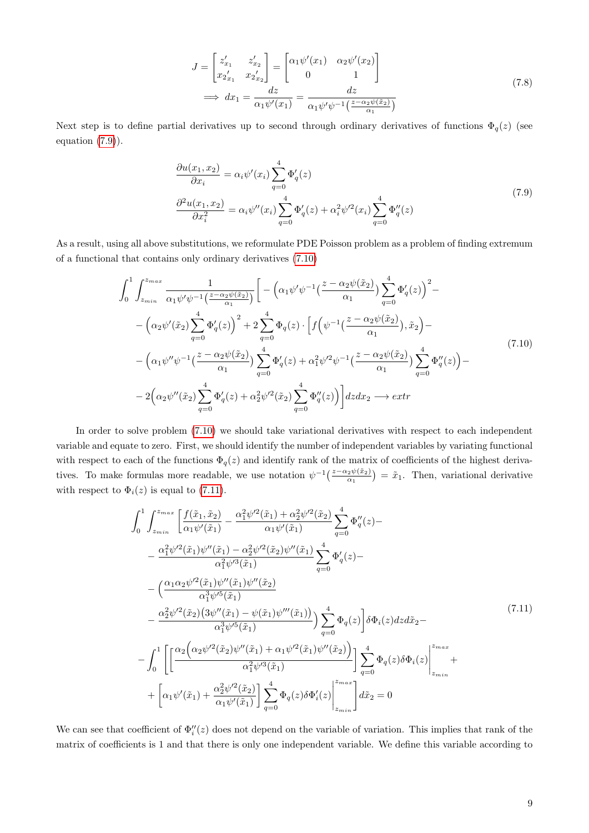$$
J = \begin{bmatrix} z'_{x_1} & z'_{x_2} \\ x_2'_{x_1} & x_2'_{x_2} \end{bmatrix} = \begin{bmatrix} \alpha_1 \psi'(x_1) & \alpha_2 \psi'(x_2) \\ 0 & 1 \end{bmatrix}
$$
  
\n
$$
\implies dx_1 = \frac{dz}{\alpha_1 \psi'(x_1)} = \frac{dz}{\alpha_1 \psi'\psi^{-1}(\frac{z - \alpha_2 \psi(\tilde{x}_2)}{\alpha_1})}
$$
\n(7.8)

<span id="page-8-0"></span>Next step is to define partial derivatives up to second through ordinary derivatives of functions  $\Phi_q(z)$  (see equation  $(7.9)$ ).

$$
\frac{\partial u(x_1, x_2)}{\partial x_i} = \alpha_i \psi'(x_i) \sum_{q=0}^4 \Phi'_q(z)
$$
\n
$$
\frac{\partial^2 u(x_1, x_2)}{\partial x_i^2} = \alpha_i \psi''(x_i) \sum_{q=0}^4 \Phi'_q(z) + \alpha_i^2 \psi'^2(x_i) \sum_{q=0}^4 \Phi''_q(z)
$$
\n(7.9)

<span id="page-8-1"></span>As a result, using all above substitutions, we reformulate PDE Poisson problem as a problem of finding extremum of a functional that contains only ordinary derivatives [\(7.10\)](#page-8-2)

<span id="page-8-2"></span>
$$
\int_{0}^{1} \int_{z_{min}}^{z_{max}} \frac{1}{\alpha_{1} \psi' \psi^{-1}(\frac{z - \alpha_{2} \psi(\tilde{x}_{2})}{\alpha_{1}})} \left[ -\left(\alpha_{1} \psi' \psi^{-1}(\frac{z - \alpha_{2} \psi(\tilde{x}_{2})}{\alpha_{1}}) \sum_{q=0}^{4} \Phi'_{q}(z) \right)^{2} - \right. \\
\left. -\left(\alpha_{2} \psi'(\tilde{x}_{2}) \sum_{q=0}^{4} \Phi'_{q}(z)\right)^{2} + 2 \sum_{q=0}^{4} \Phi_{q}(z) \cdot \left[ f\left(\psi^{-1}(\frac{z - \alpha_{2} \psi(\tilde{x}_{2})}{\alpha_{1}}), \tilde{x}_{2}\right) - \right. \\
\left. -\left(\alpha_{1} \psi'' \psi^{-1}(\frac{z - \alpha_{2} \psi(\tilde{x}_{2})}{\alpha_{1}}) \sum_{q=0}^{4} \Phi'_{q}(z) + \alpha_{1}^{2} \psi'^{2} \psi^{-1}(\frac{z - \alpha_{2} \psi(\tilde{x}_{2})}{\alpha_{1}}) \sum_{q=0}^{4} \Phi''_{q}(z)\right) - \right. \\
\left. - 2\left(\alpha_{2} \psi''(\tilde{x}_{2}) \sum_{q=0}^{4} \Phi'_{q}(z) + \alpha_{2}^{2} \psi'^{2}(\tilde{x}_{2}) \sum_{q=0}^{4} \Phi''_{q}(z)\right) \right] dz dx_{2} \longrightarrow extr
$$
\n(7.10)

In order to solve problem [\(7.10\)](#page-8-2) we should take variational derivatives with respect to each independent variable and equate to zero. First, we should identify the number of independent variables by variating functional with respect to each of the functions  $\Phi_q(z)$  and identify rank of the matrix of coefficients of the highest derivatives. To make formulas more readable, we use notation  $\psi^{-1}(\frac{z-\alpha_2\psi(\tilde{x}_2)}{\alpha_1}) = \tilde{x}_1$ . Then, variational derivative with respect to  $\Phi_i(z)$  is equal to [\(7.11\)](#page-8-3).

<span id="page-8-3"></span>
$$
\int_{0}^{1} \int_{z_{min}}^{z_{max}} \left[ \frac{f(\tilde{x}_1, \tilde{x}_2)}{\alpha_1 \psi'(\tilde{x}_1)} - \frac{\alpha_1^2 \psi'^2(\tilde{x}_1) + \alpha_2^2 \psi'^2(\tilde{x}_2)}{\alpha_1 \psi'(\tilde{x}_1)} \right] \frac{4}{q=0} \Phi_{q}''(z) -
$$
\n
$$
- \frac{\alpha_1^2 \psi'^2(\tilde{x}_1) \psi''(\tilde{x}_1) - \alpha_2^2 \psi'^2(\tilde{x}_2) \psi''(\tilde{x}_1)}{\alpha_1^2 \psi'^3(\tilde{x}_1)} \sum_{q=0}^{4} \Phi_{q}'(z) -
$$
\n
$$
- \left( \frac{\alpha_1 \alpha_2 \psi'^2(\tilde{x}_1) \psi''(\tilde{x}_1) \psi''(\tilde{x}_2)}{\alpha_1^3 \psi'^5(\tilde{x}_1)} - \frac{\alpha_2^2 \psi'^2(\tilde{x}_2) (3 \psi''(\tilde{x}_1) - \psi(\tilde{x}_1) \psi''(\tilde{x}_1)}{\alpha_1^3 \psi'^5(\tilde{x}_1)} \right) \sum_{q=0}^{4} \Phi_{q}(z) \left[ \delta \Phi_i(z) dz d\tilde{x}_2 -
$$
\n
$$
- \int_{0}^{1} \left[ \left[ \frac{\alpha_2 \left( \alpha_2 \psi'^2(\tilde{x}_2) \psi''(\tilde{x}_1) + \alpha_1 \psi'^2(\tilde{x}_1) \psi''(\tilde{x}_2)}{\alpha_1^2 \psi'^3(\tilde{x}_1)} \right] \right] \sum_{q=0}^{4} \Phi_{q}(z) \delta \Phi_i(z) \right]_{z_{min}}^{z_{max}} +
$$
\n
$$
+ \left[ \alpha_1 \psi'(\tilde{x}_1) + \frac{\alpha_2^2 \psi'^2(\tilde{x}_2)}{\alpha_1 \psi'(\tilde{x}_1)} \right] \sum_{q=0}^{4} \Phi_{q}(z) \delta \Phi_i'(z) \Big|_{z_{min}}^{z_{max}} d\tilde{x}_2 = 0
$$
\n(7.11)

We can see that coefficient of  $\Phi''_i(z)$  does not depend on the variable of variation. This implies that rank of the matrix of coefficients is 1 and that there is only one independent variable. We define this variable according to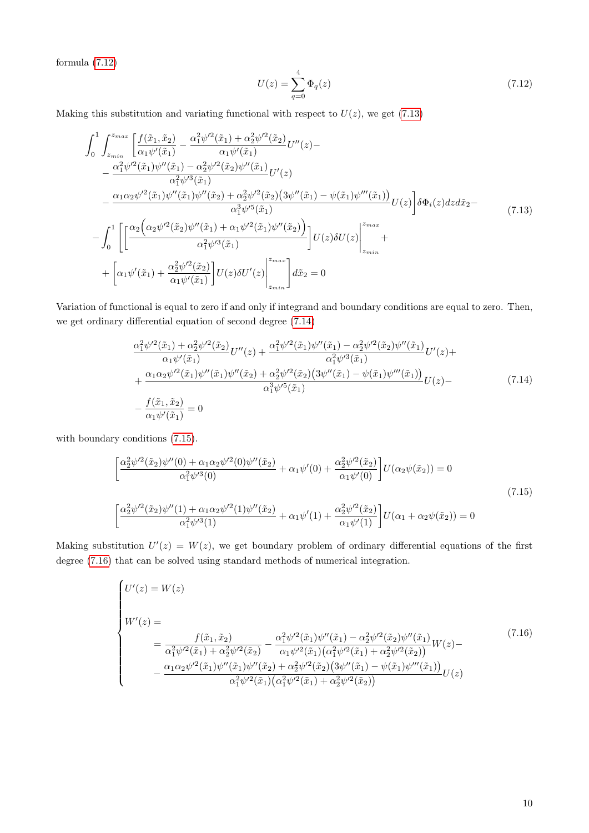formula [\(7.12\)](#page-9-0)

<span id="page-9-0"></span>
$$
U(z) = \sum_{q=0}^{4} \Phi_q(z)
$$
\n(7.12)

Making this substitution and variating functional with respect to  $U(z)$ , we get [\(7.13\)](#page-9-1)

<span id="page-9-1"></span>
$$
\int_{0}^{1} \int_{z_{min}}^{z_{max}} \left[ \frac{f(\tilde{x}_{1}, \tilde{x}_{2})}{\alpha_{1} \psi'(\tilde{x}_{1})} - \frac{\alpha_{1}^{2} \psi'^{2}(\tilde{x}_{1}) + \alpha_{2}^{2} \psi'^{2}(\tilde{x}_{2})}{\alpha_{1} \psi'(\tilde{x}_{1})} U''(z) - \frac{\alpha_{1}^{2} \psi'^{2}(\tilde{x}_{1}) \psi''(\tilde{x}_{1}) - \alpha_{2}^{2} \psi'^{2}(\tilde{x}_{2}) \psi''(\tilde{x}_{1})}{\alpha_{1}^{2} \psi'^{3}(\tilde{x}_{1})} U'(z) - \frac{\alpha_{1} \alpha_{2} \psi'^{2}(\tilde{x}_{1}) \psi''(\tilde{x}_{1}) \psi''(\tilde{x}_{2}) + \alpha_{2}^{2} \psi'^{2}(\tilde{x}_{2}) (3 \psi''(\tilde{x}_{1}) - \psi(\tilde{x}_{1}) \psi''(\tilde{x}_{1}))}{\alpha_{1}^{3} \psi'^{5}(\tilde{x}_{1})} U(z) \bigg] \delta \Phi_{i}(z) dz d\tilde{x}_{2} - \int_{0}^{1} \left[ \left[ \frac{\alpha_{2} \left( \alpha_{2} \psi'^{2}(\tilde{x}_{2}) \psi''(\tilde{x}_{1}) + \alpha_{1} \psi'^{2}(\tilde{x}_{1}) \psi''(\tilde{x}_{2}) \right)}{\alpha_{1}^{2} \psi'^{3}(\tilde{x}_{1})} \right] U(z) \delta U(z) \right]_{z_{min}}^{z_{max}} + \left[ \alpha_{1} \psi'(\tilde{x}_{1}) + \frac{\alpha_{2}^{2} \psi'^{2}(\tilde{x}_{2})}{\alpha_{1} \psi'(\tilde{x}_{1})} \right] U(z) \delta U'(z) \bigg|_{z_{min}}^{z_{max}} d\tilde{x}_{2} = 0
$$
\n(7.13)

Variation of functional is equal to zero if and only if integrand and boundary conditions are equal to zero. Then, we get ordinary differential equation of second degree [\(7.14\)](#page-9-2)

$$
\frac{\alpha_1^2 \psi'^2(\tilde{x}_1) + \alpha_2^2 \psi'^2(\tilde{x}_2)}{\alpha_1 \psi'(\tilde{x}_1)} U''(z) + \frac{\alpha_1^2 \psi'^2(\tilde{x}_1) \psi''(\tilde{x}_1) - \alpha_2^2 \psi'^2(\tilde{x}_2) \psi''(\tilde{x}_1)}{\alpha_1^2 \psi'^3(\tilde{x}_1)} U'(z) + + \frac{\alpha_1 \alpha_2 \psi'^2(\tilde{x}_1) \psi''(\tilde{x}_1) \psi''(\tilde{x}_2) + \alpha_2^2 \psi'^2(\tilde{x}_2) (3 \psi''(\tilde{x}_1) - \psi(\tilde{x}_1) \psi'''(\tilde{x}_1))}{\alpha_1^3 \psi'^5(\tilde{x}_1)} U(z) - - \frac{f(\tilde{x}_1, \tilde{x}_2)}{\alpha_1 \psi'(\tilde{x}_1)} = 0
$$
\n(7.14)

<span id="page-9-3"></span><span id="page-9-2"></span>with boundary conditions [\(7.15\)](#page-9-3).

$$
\left[\frac{\alpha_2^2 \psi'^2(\tilde{x}_2) \psi''(0) + \alpha_1 \alpha_2 \psi'^2(0) \psi''(\tilde{x}_2)}{\alpha_1^2 \psi'^3(0)} + \alpha_1 \psi'(0) + \frac{\alpha_2^2 \psi'^2(\tilde{x}_2)}{\alpha_1 \psi'(0)}\right] U(\alpha_2 \psi(\tilde{x}_2)) = 0
$$
\n
$$
\left[\frac{\alpha_2^2 \psi'^2(\tilde{x}_2) \psi''(1) + \alpha_1 \alpha_2 \psi'^2(1) \psi''(\tilde{x}_2)}{\alpha_1^2 \psi'^3(1)} + \alpha_1 \psi'(1) + \frac{\alpha_2^2 \psi'^2(\tilde{x}_2)}{\alpha_1 \psi'(1)}\right] U(\alpha_1 + \alpha_2 \psi(\tilde{x}_2)) = 0
$$
\n(7.15)

Making substitution  $U'(z) = W(z)$ , we get boundary problem of ordinary differential equations of the first degree [\(7.16\)](#page-9-4) that can be solved using standard methods of numerical integration.

<span id="page-9-4"></span>
$$
\begin{cases}\nU'(z) = W(z) \\
W'(z) = \n\frac{f(\tilde{x}_1, \tilde{x}_2)}{\alpha_1^2 \psi'^2(\tilde{x}_1) + \alpha_2^2 \psi'^2(\tilde{x}_2)} - \frac{\alpha_1^2 \psi'^2(\tilde{x}_1) \psi''(\tilde{x}_1) - \alpha_2^2 \psi'^2(\tilde{x}_2) \psi''(\tilde{x}_1)}{\alpha_1 \psi'^2(\tilde{x}_1) (\alpha_1^2 \psi'^2(\tilde{x}_1) + \alpha_2^2 \psi'^2(\tilde{x}_2))} W(z) - \n\frac{\alpha_1 \alpha_2 \psi'^2(\tilde{x}_1) \psi''(\tilde{x}_1) \psi''(\tilde{x}_2) + \alpha_2^2 \psi'^2(\tilde{x}_2) (3 \psi''(\tilde{x}_1) - \psi(\tilde{x}_1) \psi'''(\tilde{x}_1))}{\alpha_1^2 \psi'^2(\tilde{x}_1) (\alpha_1^2 \psi'^2(\tilde{x}_1) + \alpha_2^2 \psi'^2(\tilde{x}_2))} U(z)\n\end{cases}\n\tag{7.16}
$$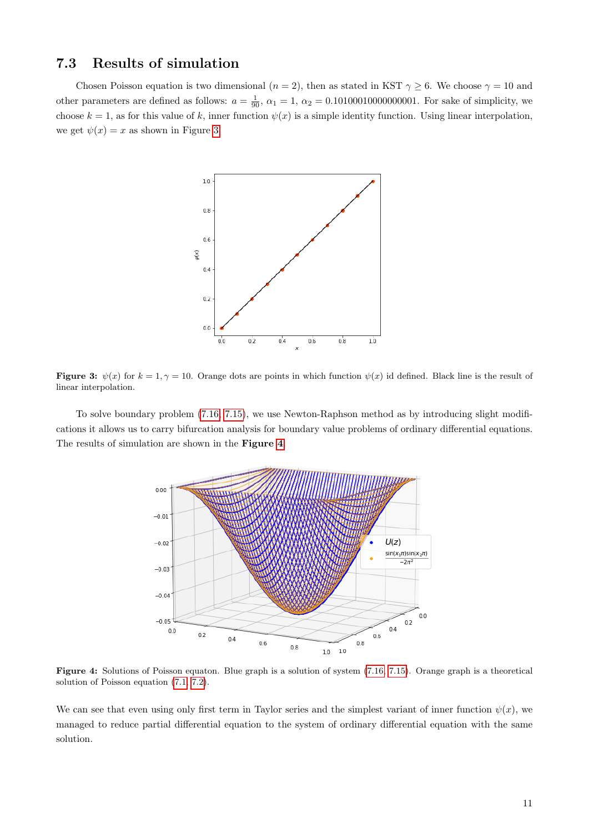#### 7.3 Results of simulation

<span id="page-10-0"></span>Chosen Poisson equation is two dimensional ( $n = 2$ ), then as stated in KST  $\gamma \geq 6$ . We choose  $\gamma = 10$  and other parameters are defined as follows:  $a = \frac{1}{90}$ ,  $\alpha_1 = 1$ ,  $\alpha_2 = 0.1010001000000001$ . For sake of simplicity, we choose  $k = 1$ , as for this value of k, inner function  $\psi(x)$  is a simple identity function. Using linear interpolation, we get  $\psi(x) = x$  as shown in Figure [3.](#page-10-0)



Figure 3:  $\psi(x)$  for  $k = 1, \gamma = 10$ . Orange dots are points in which function  $\psi(x)$  id defined. Black line is the result of linear interpolation.

<span id="page-10-1"></span>To solve boundary problem [\(7.16,](#page-9-4) [7.15\)](#page-9-3), we use Newton-Raphson method as by introducing slight modifications it allows us to carry bifurcation analysis for boundary value problems of ordinary differential equations. The results of simulation are shown in the Figure [4](#page-10-1).



Figure 4: Solutions of Poisson equaton. Blue graph is a solution of system [\(7.16,](#page-9-4) [7.15\)](#page-9-3). Orange graph is a theoretical solution of Poisson equation [\(7.1,](#page-7-1) [7.2\)](#page-7-2).

We can see that even using only first term in Taylor series and the simplest variant of inner function  $\psi(x)$ , we managed to reduce partial differential equation to the system of ordinary differential equation with the same solution.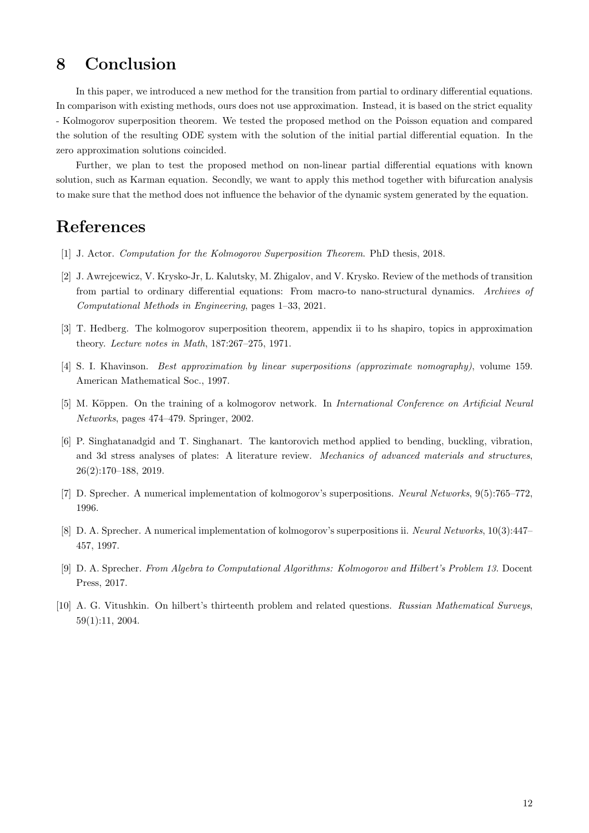# 8 Conclusion

In this paper, we introduced a new method for the transition from partial to ordinary differential equations. In comparison with existing methods, ours does not use approximation. Instead, it is based on the strict equality - Kolmogorov superposition theorem. We tested the proposed method on the Poisson equation and compared the solution of the resulting ODE system with the solution of the initial partial differential equation. In the zero approximation solutions coincided.

Further, we plan to test the proposed method on non-linear partial differential equations with known solution, such as Karman equation. Secondly, we want to apply this method together with bifurcation analysis to make sure that the method does not influence the behavior of the dynamic system generated by the equation.

### References

- <span id="page-11-4"></span>[1] J. Actor. Computation for the Kolmogorov Superposition Theorem. PhD thesis, 2018.
- <span id="page-11-0"></span>[2] J. Awrejcewicz, V. Krysko-Jr, L. Kalutsky, M. Zhigalov, and V. Krysko. Review of the methods of transition from partial to ordinary differential equations: From macro-to nano-structural dynamics. Archives of Computational Methods in Engineering, pages 1–33, 2021.
- <span id="page-11-5"></span>[3] T. Hedberg. The kolmogorov superposition theorem, appendix ii to hs shapiro, topics in approximation theory. Lecture notes in Math, 187:267–275, 1971.
- [4] S. I. Khavinson. Best approximation by linear superpositions (approximate nomography), volume 159. American Mathematical Soc., 1997.
- <span id="page-11-3"></span>[5] M. Köppen. On the training of a kolmogorov network. In International Conference on Artificial Neural Networks, pages 474–479. Springer, 2002.
- <span id="page-11-1"></span>[6] P. Singhatanadgid and T. Singhanart. The kantorovich method applied to bending, buckling, vibration, and 3d stress analyses of plates: A literature review. Mechanics of advanced materials and structures, 26(2):170–188, 2019.
- <span id="page-11-2"></span>[7] D. Sprecher. A numerical implementation of kolmogorov's superpositions. Neural Networks, 9(5):765–772, 1996.
- [8] D. A. Sprecher. A numerical implementation of kolmogorov's superpositions ii. Neural Networks, 10(3):447– 457, 1997.
- [9] D. A. Sprecher. From Algebra to Computational Algorithms: Kolmogorov and Hilbert's Problem 13. Docent Press, 2017.
- [10] A. G. Vitushkin. On hilbert's thirteenth problem and related questions. Russian Mathematical Surveys, 59(1):11, 2004.